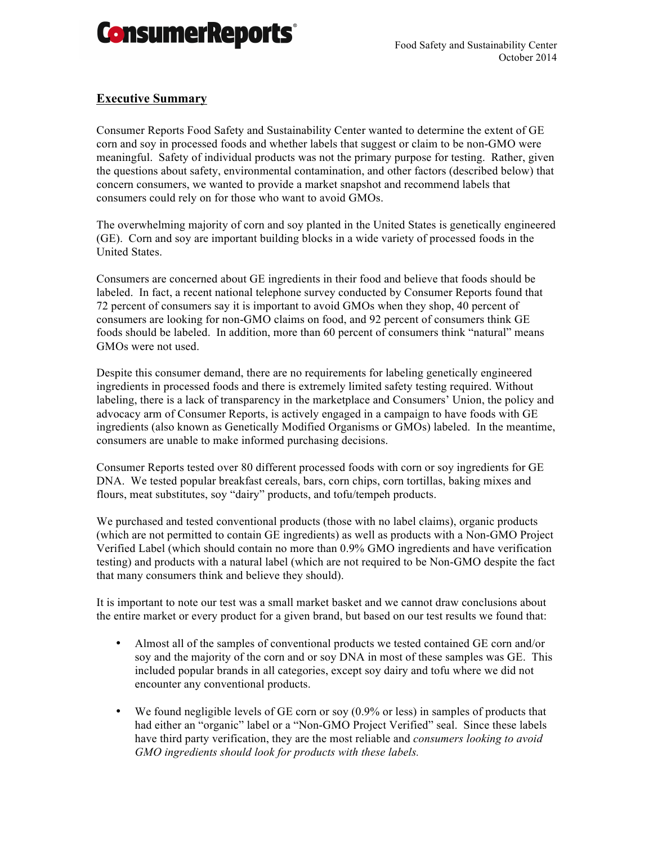

### **Executive Summary**

Consumer Reports Food Safety and Sustainability Center wanted to determine the extent of GE corn and soy in processed foods and whether labels that suggest or claim to be non-GMO were meaningful. Safety of individual products was not the primary purpose for testing. Rather, given the questions about safety, environmental contamination, and other factors (described below) that concern consumers, we wanted to provide a market snapshot and recommend labels that consumers could rely on for those who want to avoid GMOs.

The overwhelming majority of corn and soy planted in the United States is genetically engineered (GE). Corn and soy are important building blocks in a wide variety of processed foods in the United States.

Consumers are concerned about GE ingredients in their food and believe that foods should be labeled. In fact, a recent national telephone survey conducted by Consumer Reports found that 72 percent of consumers say it is important to avoid GMOs when they shop, 40 percent of consumers are looking for non-GMO claims on food, and 92 percent of consumers think GE foods should be labeled. In addition, more than 60 percent of consumers think "natural" means GMOs were not used.

Despite this consumer demand, there are no requirements for labeling genetically engineered ingredients in processed foods and there is extremely limited safety testing required. Without labeling, there is a lack of transparency in the marketplace and Consumers' Union, the policy and advocacy arm of Consumer Reports, is actively engaged in a campaign to have foods with GE ingredients (also known as Genetically Modified Organisms or GMOs) labeled. In the meantime, consumers are unable to make informed purchasing decisions.

Consumer Reports tested over 80 different processed foods with corn or soy ingredients for GE DNA. We tested popular breakfast cereals, bars, corn chips, corn tortillas, baking mixes and flours, meat substitutes, soy "dairy" products, and tofu/tempeh products.

We purchased and tested conventional products (those with no label claims), organic products (which are not permitted to contain GE ingredients) as well as products with a Non-GMO Project Verified Label (which should contain no more than 0.9% GMO ingredients and have verification testing) and products with a natural label (which are not required to be Non-GMO despite the fact that many consumers think and believe they should).

It is important to note our test was a small market basket and we cannot draw conclusions about the entire market or every product for a given brand, but based on our test results we found that:

- Almost all of the samples of conventional products we tested contained GE corn and/or soy and the majority of the corn and or soy DNA in most of these samples was GE. This included popular brands in all categories, except soy dairy and tofu where we did not encounter any conventional products.
- We found negligible levels of GE corn or soy (0.9% or less) in samples of products that had either an "organic" label or a "Non-GMO Project Verified" seal. Since these labels have third party verification, they are the most reliable and *consumers looking to avoid GMO ingredients should look for products with these labels.*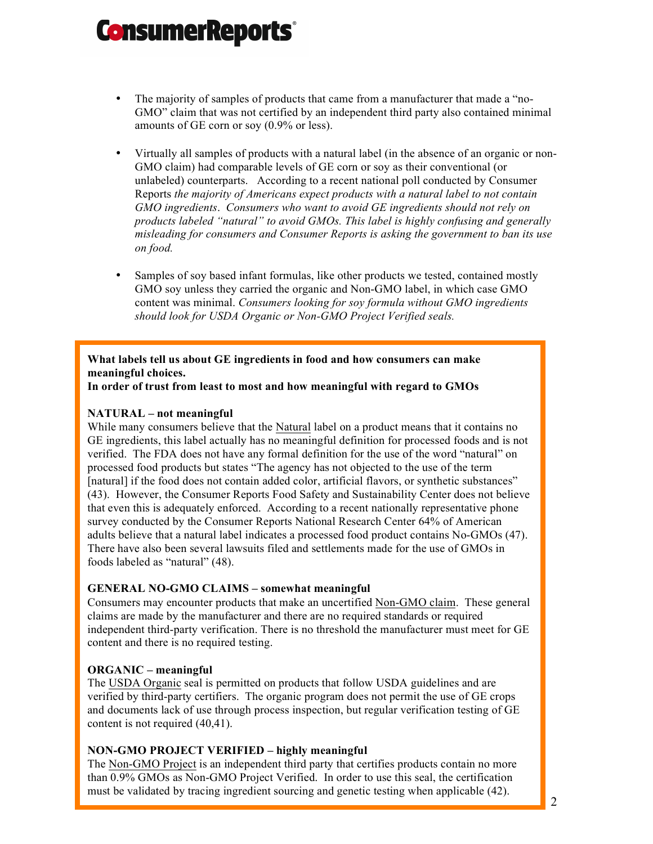- The majority of samples of products that came from a manufacturer that made a "no-GMO" claim that was not certified by an independent third party also contained minimal amounts of GE corn or soy (0.9% or less).
- Virtually all samples of products with a natural label (in the absence of an organic or non-GMO claim) had comparable levels of GE corn or soy as their conventional (or unlabeled) counterparts. According to a recent national poll conducted by Consumer Reports *the majority of Americans expect products with a natural label to not contain GMO ingredients*. *Consumers who want to avoid GE ingredients should not rely on products labeled "natural" to avoid GMOs. This label is highly confusing and generally misleading for consumers and Consumer Reports is asking the government to ban its use on food.*
- Samples of soy based infant formulas, like other products we tested, contained mostly GMO soy unless they carried the organic and Non-GMO label, in which case GMO content was minimal. *Consumers looking for soy formula without GMO ingredients should look for USDA Organic or Non-GMO Project Verified seals.*

### **What labels tell us about GE ingredients in food and how consumers can make meaningful choices.**

**In order of trust from least to most and how meaningful with regard to GMOs**

### **NATURAL – not meaningful**

While many consumers believe that the Natural label on a product means that it contains no GE ingredients, this label actually has no meaningful definition for processed foods and is not verified. The FDA does not have any formal definition for the use of the word "natural" on processed food products but states "The agency has not objected to the use of the term [natural] if the food does not contain added color, artificial flavors, or synthetic substances" (43). However, the Consumer Reports Food Safety and Sustainability Center does not believe that even this is adequately enforced. According to a recent nationally representative phone survey conducted by the Consumer Reports National Research Center 64% of American adults believe that a natural label indicates a processed food product contains No-GMOs (47). There have also been several lawsuits filed and settlements made for the use of GMOs in foods labeled as "natural" (48).

### **GENERAL NO-GMO CLAIMS – somewhat meaningful**

Consumers may encounter products that make an uncertified Non-GMO claim. These general claims are made by the manufacturer and there are no required standards or required independent third-party verification. There is no threshold the manufacturer must meet for GE content and there is no required testing.

### **ORGANIC – meaningful**

The USDA Organic seal is permitted on products that follow USDA guidelines and are verified by third-party certifiers. The organic program does not permit the use of GE crops and documents lack of use through process inspection, but regular verification testing of GE content is not required (40,41).

#### **NON-GMO PROJECT VERIFIED – highly meaningful**

The Non-GMO Project is an independent third party that certifies products contain no more than 0.9% GMOs as Non-GMO Project Verified. In order to use this seal, the certification must be validated by tracing ingredient sourcing and genetic testing when applicable (42).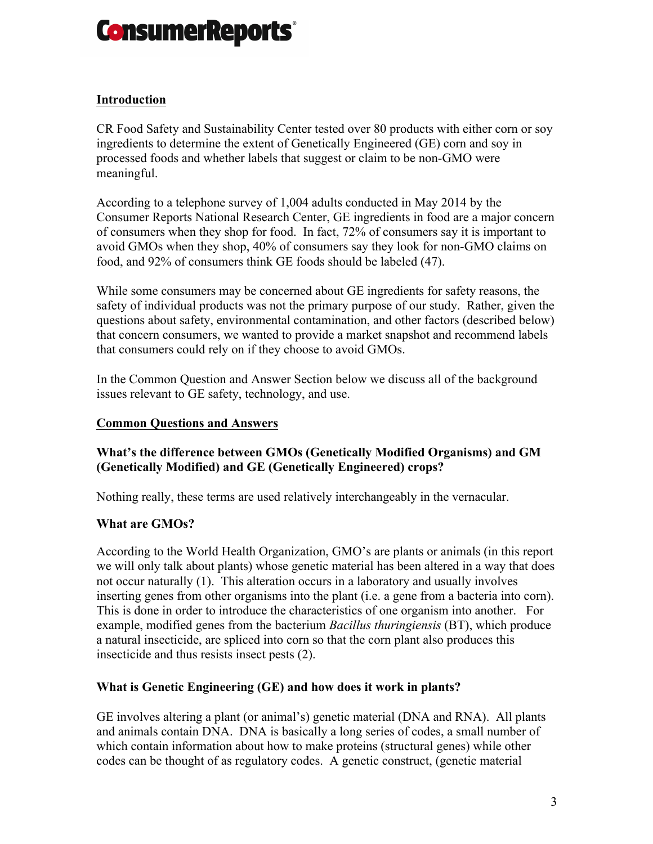

# **Introduction**

CR Food Safety and Sustainability Center tested over 80 products with either corn or soy ingredients to determine the extent of Genetically Engineered (GE) corn and soy in processed foods and whether labels that suggest or claim to be non-GMO were meaningful.

According to a telephone survey of 1,004 adults conducted in May 2014 by the Consumer Reports National Research Center, GE ingredients in food are a major concern of consumers when they shop for food. In fact, 72% of consumers say it is important to avoid GMOs when they shop, 40% of consumers say they look for non-GMO claims on food, and 92% of consumers think GE foods should be labeled (47).

While some consumers may be concerned about GE ingredients for safety reasons, the safety of individual products was not the primary purpose of our study. Rather, given the questions about safety, environmental contamination, and other factors (described below) that concern consumers, we wanted to provide a market snapshot and recommend labels that consumers could rely on if they choose to avoid GMOs.

In the Common Question and Answer Section below we discuss all of the background issues relevant to GE safety, technology, and use.

#### **Common Questions and Answers**

# **What's the difference between GMOs (Genetically Modified Organisms) and GM (Genetically Modified) and GE (Genetically Engineered) crops?**

Nothing really, these terms are used relatively interchangeably in the vernacular.

### **What are GMOs?**

According to the World Health Organization, GMO's are plants or animals (in this report we will only talk about plants) whose genetic material has been altered in a way that does not occur naturally (1). This alteration occurs in a laboratory and usually involves inserting genes from other organisms into the plant (i.e. a gene from a bacteria into corn). This is done in order to introduce the characteristics of one organism into another. For example, modified genes from the bacterium *Bacillus thuringiensis* (BT), which produce a natural insecticide, are spliced into corn so that the corn plant also produces this insecticide and thus resists insect pests (2).

### **What is Genetic Engineering (GE) and how does it work in plants?**

GE involves altering a plant (or animal's) genetic material (DNA and RNA). All plants and animals contain DNA. DNA is basically a long series of codes, a small number of which contain information about how to make proteins (structural genes) while other codes can be thought of as regulatory codes. A genetic construct, (genetic material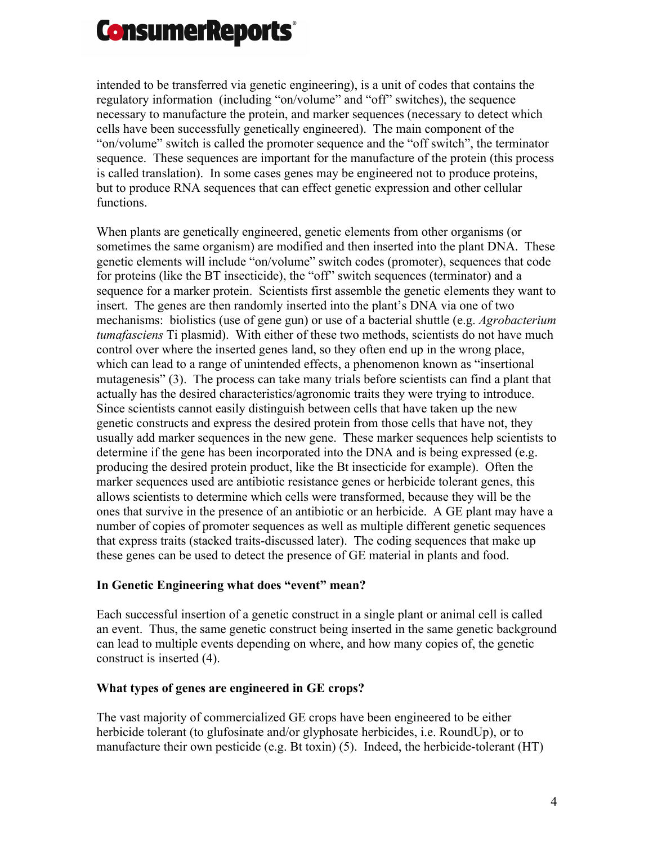

intended to be transferred via genetic engineering), is a unit of codes that contains the regulatory information (including "on/volume" and "off" switches), the sequence necessary to manufacture the protein, and marker sequences (necessary to detect which cells have been successfully genetically engineered). The main component of the "on/volume" switch is called the promoter sequence and the "off switch", the terminator sequence. These sequences are important for the manufacture of the protein (this process is called translation). In some cases genes may be engineered not to produce proteins, but to produce RNA sequences that can effect genetic expression and other cellular functions.

When plants are genetically engineered, genetic elements from other organisms (or sometimes the same organism) are modified and then inserted into the plant DNA. These genetic elements will include "on/volume" switch codes (promoter), sequences that code for proteins (like the BT insecticide), the "off" switch sequences (terminator) and a sequence for a marker protein. Scientists first assemble the genetic elements they want to insert. The genes are then randomly inserted into the plant's DNA via one of two mechanisms: biolistics (use of gene gun) or use of a bacterial shuttle (e.g. *Agrobacterium tumafasciens* Ti plasmid). With either of these two methods, scientists do not have much control over where the inserted genes land, so they often end up in the wrong place, which can lead to a range of unintended effects, a phenomenon known as "insertional mutagenesis" (3). The process can take many trials before scientists can find a plant that actually has the desired characteristics/agronomic traits they were trying to introduce. Since scientists cannot easily distinguish between cells that have taken up the new genetic constructs and express the desired protein from those cells that have not, they usually add marker sequences in the new gene. These marker sequences help scientists to determine if the gene has been incorporated into the DNA and is being expressed (e.g. producing the desired protein product, like the Bt insecticide for example). Often the marker sequences used are antibiotic resistance genes or herbicide tolerant genes, this allows scientists to determine which cells were transformed, because they will be the ones that survive in the presence of an antibiotic or an herbicide. A GE plant may have a number of copies of promoter sequences as well as multiple different genetic sequences that express traits (stacked traits-discussed later). The coding sequences that make up these genes can be used to detect the presence of GE material in plants and food.

### **In Genetic Engineering what does "event" mean?**

Each successful insertion of a genetic construct in a single plant or animal cell is called an event. Thus, the same genetic construct being inserted in the same genetic background can lead to multiple events depending on where, and how many copies of, the genetic construct is inserted (4).

### **What types of genes are engineered in GE crops?**

The vast majority of commercialized GE crops have been engineered to be either herbicide tolerant (to glufosinate and/or glyphosate herbicides, i.e. RoundUp), or to manufacture their own pesticide (e.g. Bt toxin) (5). Indeed, the herbicide-tolerant (HT)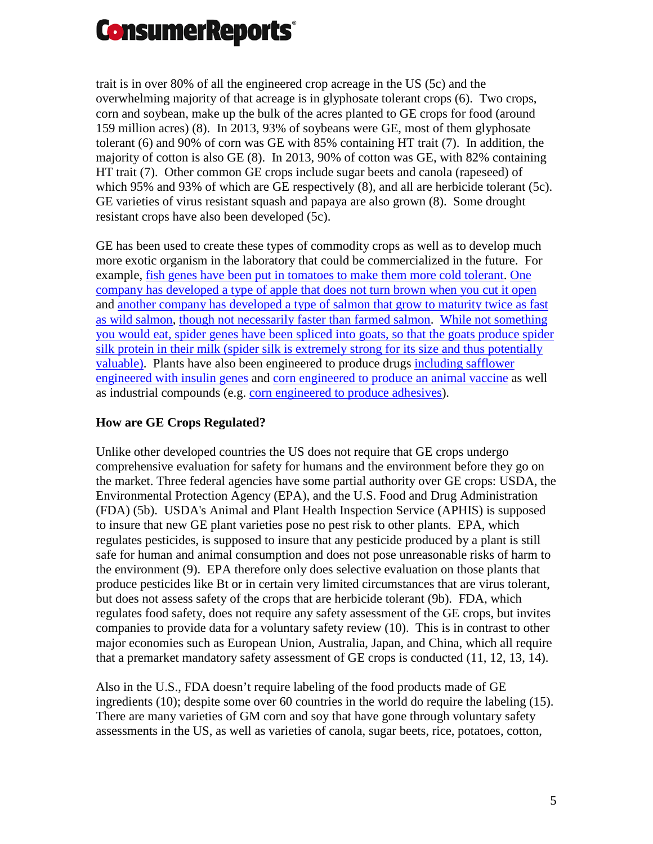

trait is in over 80% of all the engineered crop acreage in the US (5c) and the overwhelming majority of that acreage is in glyphosate tolerant crops (6). Two crops, corn and soybean, make up the bulk of the acres planted to GE crops for food (around 159 million acres) (8). In 2013, 93% of soybeans were GE, most of them glyphosate tolerant (6) and 90% of corn was GE with 85% containing HT trait (7). In addition, the majority of cotton is also GE (8). In 2013, 90% of cotton was GE, with 82% containing HT trait (7). Other common GE crops include sugar beets and canola (rapeseed) of which 95% and 93% of which are GE respectively (8), and all are herbicide tolerant (5c). GE varieties of virus resistant squash and papaya are also grown (8). Some drought resistant crops have also been developed (5c).

GE has been used to create these types of commodity crops as well as to develop much more exotic organism in the laboratory that could be commercialized in the future. For example, [fish genes have been put in tomatoes to make them more cold tolerant.](http://www.motherearthnews.com/real-food/adding-a-fish-gene-into-tomatoes-zmaz00amzgoe.aspx) [One](http://www.arcticapples.com/)  [company has developed a type of apple that does not turn brown when you cut it open](http://www.arcticapples.com/) and [another company has developed a type of salmon that grow to maturity twice as fast](http://www.fda.gov/animalveterinary/developmentapprovalprocess/geneticengineering/geneticallyengineeredanimals/ucm280853.htm)  [as wild salmon,](http://www.fda.gov/animalveterinary/developmentapprovalprocess/geneticengineering/geneticallyengineeredanimals/ucm280853.htm) though [not necessarily faster than farmed salmon.](http://www.salmobreed.no/newsletters/en/newsletter_5_2011.pdf) [While not something](http://phys.org/news194539934.html)  [you would eat, spider genes have been spliced into goats, so that the goats produce spider](http://phys.org/news194539934.html)  [silk protein in their milk \(spider silk is extremely strong for its size and thus potentially](http://phys.org/news194539934.html)  [valuable\)](http://phys.org/news194539934.html). Plants have also been engineered to produce drugs [including safflower](https://www.ic.gc.ca/eic/site/ito-oti.nsf/eng/00597.html)  [engineered with insulin genes](https://www.ic.gc.ca/eic/site/ito-oti.nsf/eng/00597.html) and [corn engineered to produce an animal vaccine](http://onlinelibrary.wiley.com/doi/10.1196/annals.1408.009/abstract) as well as industrial compounds (e.g. [corn engineered to produce adhesives\)](http://www.rense.com/general32/esca.htm).

# **How are GE Crops Regulated?**

Unlike other developed countries the US does not require that GE crops undergo comprehensive evaluation for safety for humans and the environment before they go on the market. Three federal agencies have some partial authority over GE crops: USDA, the Environmental Protection Agency (EPA), and the U.S. Food and Drug Administration (FDA) (5b). USDA's Animal and Plant Health Inspection Service (APHIS) is supposed to insure that new GE plant varieties pose no pest risk to other plants. EPA, which regulates pesticides, is supposed to insure that any pesticide produced by a plant is still safe for human and animal consumption and does not pose unreasonable risks of harm to the environment (9). EPA therefore only does selective evaluation on those plants that produce pesticides like Bt or in certain very limited circumstances that are virus tolerant, but does not assess safety of the crops that are herbicide tolerant (9b). FDA, which regulates food safety, does not require any safety assessment of the GE crops, but invites companies to provide data for a voluntary safety review (10). This is in contrast to other major economies such as European Union, Australia, Japan, and China, which all require that a premarket mandatory safety assessment of GE crops is conducted (11, 12, 13, 14).

Also in the U.S., FDA doesn't require labeling of the food products made of GE ingredients (10); despite some over 60 countries in the world do require the labeling (15). There are many varieties of GM corn and soy that have gone through voluntary safety assessments in the US, as well as varieties of canola, sugar beets, rice, potatoes, cotton,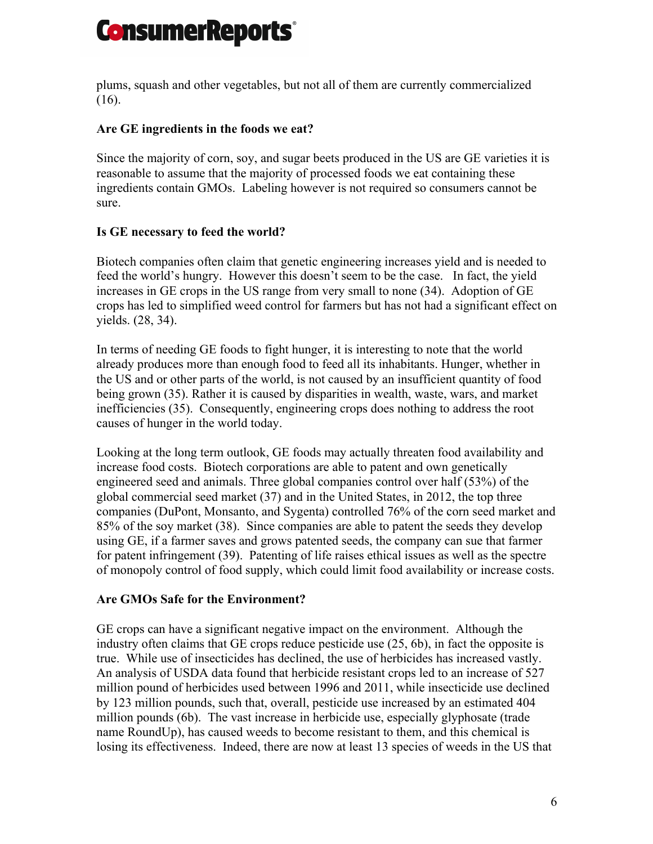

plums, squash and other vegetables, but not all of them are currently commercialized (16).

# **Are GE ingredients in the foods we eat?**

Since the majority of corn, soy, and sugar beets produced in the US are GE varieties it is reasonable to assume that the majority of processed foods we eat containing these ingredients contain GMOs. Labeling however is not required so consumers cannot be sure.

# **Is GE necessary to feed the world?**

Biotech companies often claim that genetic engineering increases yield and is needed to feed the world's hungry. However this doesn't seem to be the case. In fact, the yield increases in GE crops in the US range from very small to none (34). Adoption of GE crops has led to simplified weed control for farmers but has not had a significant effect on yields. (28, 34).

In terms of needing GE foods to fight hunger, it is interesting to note that the world already produces more than enough food to feed all its inhabitants. Hunger, whether in the US and or other parts of the world, is not caused by an insufficient quantity of food being grown (35). Rather it is caused by disparities in wealth, waste, wars, and market inefficiencies (35). Consequently, engineering crops does nothing to address the root causes of hunger in the world today.

Looking at the long term outlook, GE foods may actually threaten food availability and increase food costs. Biotech corporations are able to patent and own genetically engineered seed and animals. Three global companies control over half (53%) of the global commercial seed market (37) and in the United States, in 2012, the top three companies (DuPont, Monsanto, and Sygenta) controlled 76% of the corn seed market and 85% of the soy market (38). Since companies are able to patent the seeds they develop using GE, if a farmer saves and grows patented seeds, the company can sue that farmer for patent infringement (39). Patenting of life raises ethical issues as well as the spectre of monopoly control of food supply, which could limit food availability or increase costs.

### **Are GMOs Safe for the Environment?**

GE crops can have a significant negative impact on the environment. Although the industry often claims that GE crops reduce pesticide use (25, 6b), in fact the opposite is true. While use of insecticides has declined, the use of herbicides has increased vastly. An analysis of USDA data found that herbicide resistant crops led to an increase of 527 million pound of herbicides used between 1996 and 2011, while insecticide use declined by 123 million pounds, such that, overall, pesticide use increased by an estimated 404 million pounds (6b). The vast increase in herbicide use, especially glyphosate (trade name RoundUp), has caused weeds to become resistant to them, and this chemical is losing its effectiveness. Indeed, there are now at least 13 species of weeds in the US that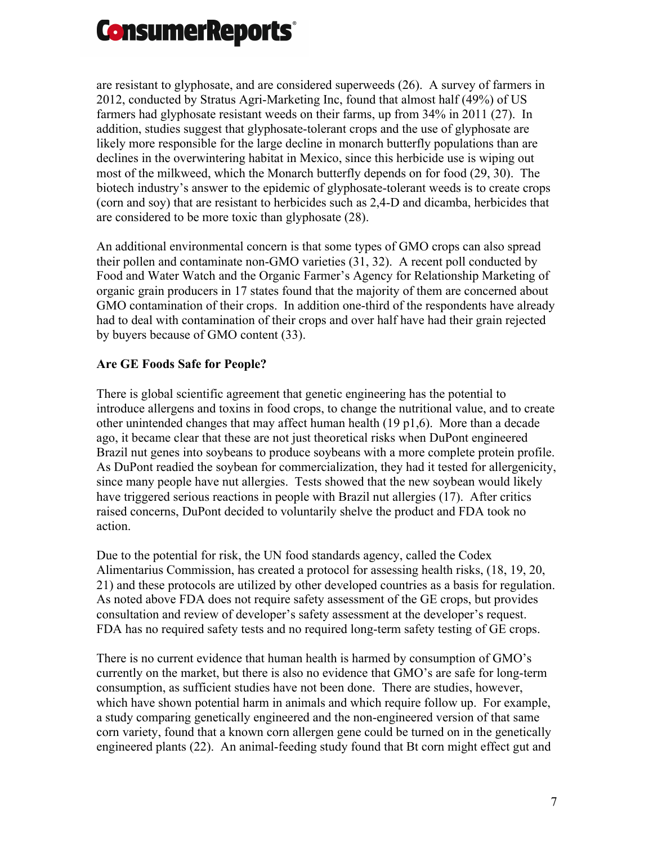

are resistant to glyphosate, and are considered superweeds (26). A survey of farmers in 2012, conducted by Stratus Agri-Marketing Inc, found that almost half (49%) of US farmers had glyphosate resistant weeds on their farms, up from 34% in 2011 (27). In addition, studies suggest that glyphosate-tolerant crops and the use of glyphosate are likely more responsible for the large decline in monarch butterfly populations than are declines in the overwintering habitat in Mexico, since this herbicide use is wiping out most of the milkweed, which the Monarch butterfly depends on for food (29, 30). The biotech industry's answer to the epidemic of glyphosate-tolerant weeds is to create crops (corn and soy) that are resistant to herbicides such as 2,4-D and dicamba, herbicides that are considered to be more toxic than glyphosate (28).

An additional environmental concern is that some types of GMO crops can also spread their pollen and contaminate non-GMO varieties (31, 32). A recent poll conducted by Food and Water Watch and the Organic Farmer's Agency for Relationship Marketing of organic grain producers in 17 states found that the majority of them are concerned about GMO contamination of their crops. In addition one-third of the respondents have already had to deal with contamination of their crops and over half have had their grain rejected by buyers because of GMO content (33).

### **Are GE Foods Safe for People?**

There is global scientific agreement that genetic engineering has the potential to introduce allergens and toxins in food crops, to change the nutritional value, and to create other unintended changes that may affect human health (19 p1,6). More than a decade ago, it became clear that these are not just theoretical risks when DuPont engineered Brazil nut genes into soybeans to produce soybeans with a more complete protein profile. As DuPont readied the soybean for commercialization, they had it tested for allergenicity, since many people have nut allergies. Tests showed that the new soybean would likely have triggered serious reactions in people with Brazil nut allergies (17). After critics raised concerns, DuPont decided to voluntarily shelve the product and FDA took no action.

Due to the potential for risk, the UN food standards agency, called the Codex Alimentarius Commission, has created a protocol for assessing health risks, (18, 19, 20, 21) and these protocols are utilized by other developed countries as a basis for regulation. As noted above FDA does not require safety assessment of the GE crops, but provides consultation and review of developer's safety assessment at the developer's request. FDA has no required safety tests and no required long-term safety testing of GE crops.

There is no current evidence that human health is harmed by consumption of GMO's currently on the market, but there is also no evidence that GMO's are safe for long-term consumption, as sufficient studies have not been done. There are studies, however, which have shown potential harm in animals and which require follow up. For example, a study comparing genetically engineered and the non-engineered version of that same corn variety, found that a known corn allergen gene could be turned on in the genetically engineered plants (22). An animal-feeding study found that Bt corn might effect gut and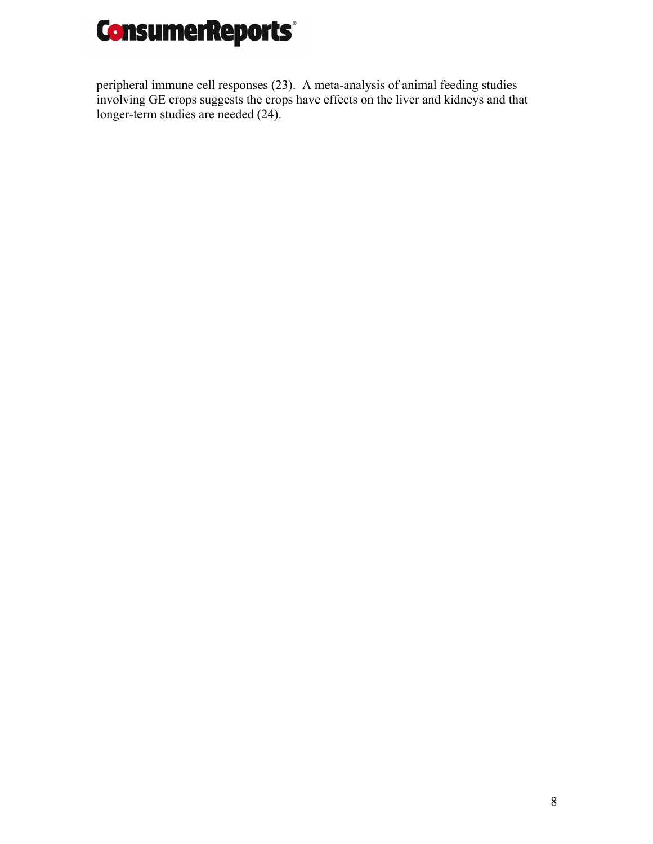

peripheral immune cell responses (23). A meta-analysis of animal feeding studies involving GE crops suggests the crops have effects on the liver and kidneys and that longer-term studies are needed (24).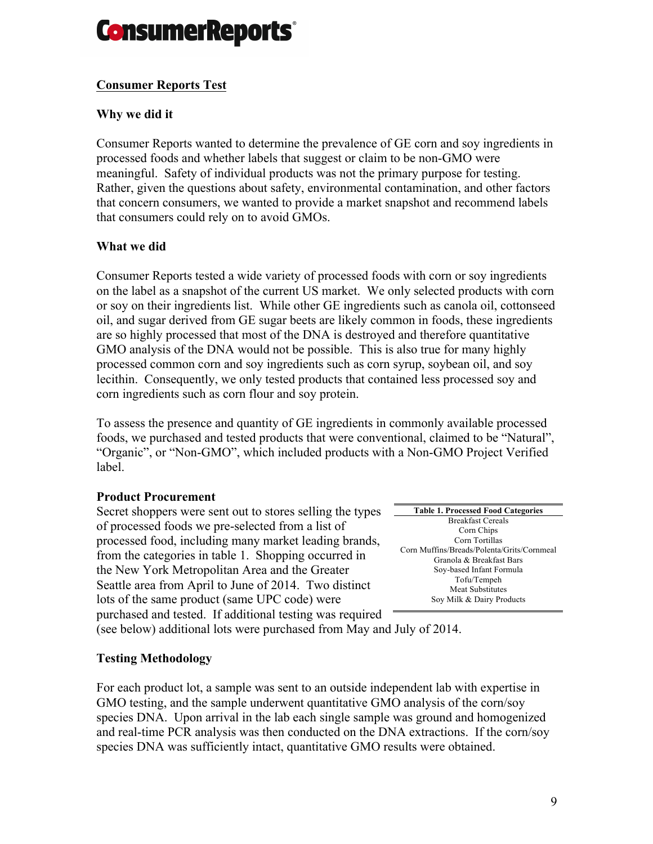

# **Consumer Reports Test**

### **Why we did it**

Consumer Reports wanted to determine the prevalence of GE corn and soy ingredients in processed foods and whether labels that suggest or claim to be non-GMO were meaningful. Safety of individual products was not the primary purpose for testing. Rather, given the questions about safety, environmental contamination, and other factors that concern consumers, we wanted to provide a market snapshot and recommend labels that consumers could rely on to avoid GMOs.

# **What we did**

Consumer Reports tested a wide variety of processed foods with corn or soy ingredients on the label as a snapshot of the current US market. We only selected products with corn or soy on their ingredients list. While other GE ingredients such as canola oil, cottonseed oil, and sugar derived from GE sugar beets are likely common in foods, these ingredients are so highly processed that most of the DNA is destroyed and therefore quantitative GMO analysis of the DNA would not be possible. This is also true for many highly processed common corn and soy ingredients such as corn syrup, soybean oil, and soy lecithin. Consequently, we only tested products that contained less processed soy and corn ingredients such as corn flour and soy protein.

To assess the presence and quantity of GE ingredients in commonly available processed foods, we purchased and tested products that were conventional, claimed to be "Natural", "Organic", or "Non-GMO", which included products with a Non-GMO Project Verified label.

### **Product Procurement**

Secret shoppers were sent out to stores selling the types of processed foods we pre-selected from a list of processed food, including many market leading brands, from the categories in table 1. Shopping occurred in the New York Metropolitan Area and the Greater Seattle area from April to June of 2014. Two distinct lots of the same product (same UPC code) were purchased and tested. If additional testing was required

**Table 1. Processed Food Categories** Breakfast Cereals Corn Chips Corn Tortillas Corn Muffins/Breads/Polenta/Grits/Cornmeal Granola & Breakfast Bars Soy-based Infant Formula Tofu/Tempeh Meat Substitutes Soy Milk & Dairy Products

(see below) additional lots were purchased from May and July of 2014.

### **Testing Methodology**

For each product lot, a sample was sent to an outside independent lab with expertise in GMO testing, and the sample underwent quantitative GMO analysis of the corn/soy species DNA. Upon arrival in the lab each single sample was ground and homogenized and real-time PCR analysis was then conducted on the DNA extractions. If the corn/soy species DNA was sufficiently intact, quantitative GMO results were obtained.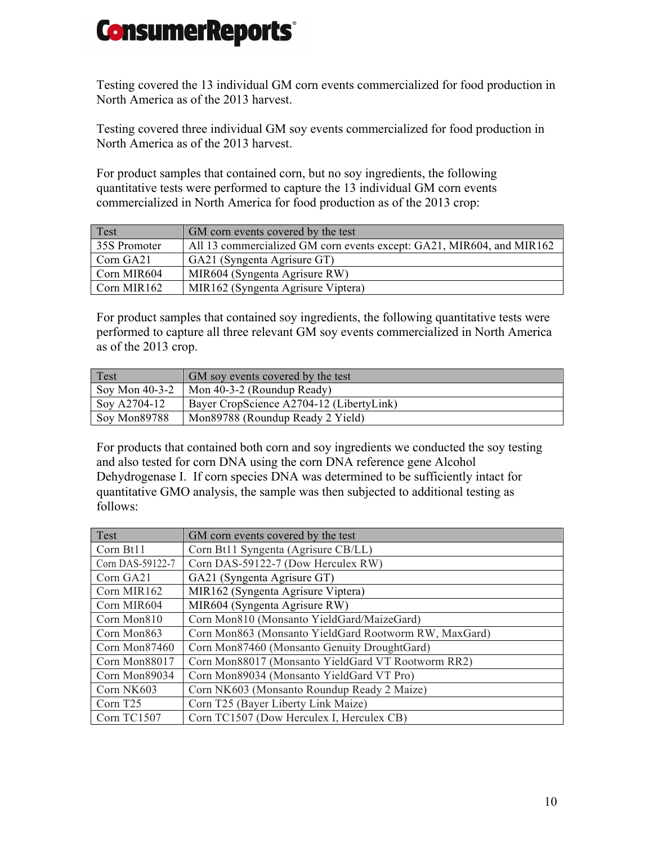Testing covered the 13 individual GM corn events commercialized for food production in North America as of the 2013 harvest.

Testing covered three individual GM soy events commercialized for food production in North America as of the 2013 harvest.

For product samples that contained corn, but no soy ingredients, the following quantitative tests were performed to capture the 13 individual GM corn events commercialized in North America for food production as of the 2013 crop:

| Test         | GM corn events covered by the test                                    |
|--------------|-----------------------------------------------------------------------|
| 35S Promoter | All 13 commercialized GM corn events except: GA21, MIR604, and MIR162 |
| Corn GA21    | GA21 (Syngenta Agrisure GT)                                           |
| Corn MIR604  | MIR604 (Syngenta Agrisure RW)                                         |
| Corn MIR162  | MIR162 (Syngenta Agrisure Viptera)                                    |

For product samples that contained soy ingredients, the following quantitative tests were performed to capture all three relevant GM soy events commercialized in North America as of the 2013 crop.

| Test             | GM soy events covered by the test        |
|------------------|------------------------------------------|
| Soy Mon $40-3-2$ | Mon 40-3-2 (Roundup Ready)               |
| Soy A2704-12     | Bayer CropScience A2704-12 (LibertyLink) |
| Soy Mon89788     | Mon89788 (Roundup Ready 2 Yield)         |

For products that contained both corn and soy ingredients we conducted the soy testing and also tested for corn DNA using the corn DNA reference gene Alcohol Dehydrogenase I. If corn species DNA was determined to be sufficiently intact for quantitative GMO analysis, the sample was then subjected to additional testing as follows:

| Test                 | GM corn events covered by the test                    |
|----------------------|-------------------------------------------------------|
| Corn Bt11            | Corn Bt11 Syngenta (Agrisure CB/LL)                   |
| Corn DAS-59122-7     | Corn DAS-59122-7 (Dow Herculex RW)                    |
| Corn GA21            | GA21 (Syngenta Agrisure GT)                           |
| Corn MIR162          | MIR162 (Syngenta Agrisure Viptera)                    |
| Corn MIR604          | MIR604 (Syngenta Agrisure RW)                         |
| Corn Mon810          | Corn Mon810 (Monsanto YieldGard/MaizeGard)            |
| Corn Mon863          | Corn Mon863 (Monsanto YieldGard Rootworm RW, MaxGard) |
| Corn Mon87460        | Corn Mon87460 (Monsanto Genuity DroughtGard)          |
| Corn Mon88017        | Corn Mon88017 (Monsanto YieldGard VT Rootworm RR2)    |
| Corn Mon89034        | Corn Mon89034 (Monsanto YieldGard VT Pro)             |
| Corn NK603           | Corn NK603 (Monsanto Roundup Ready 2 Maize)           |
| Corn T <sub>25</sub> | Corn T25 (Bayer Liberty Link Maize)                   |
| Corn TC1507          | Corn TC1507 (Dow Herculex I, Herculex CB)             |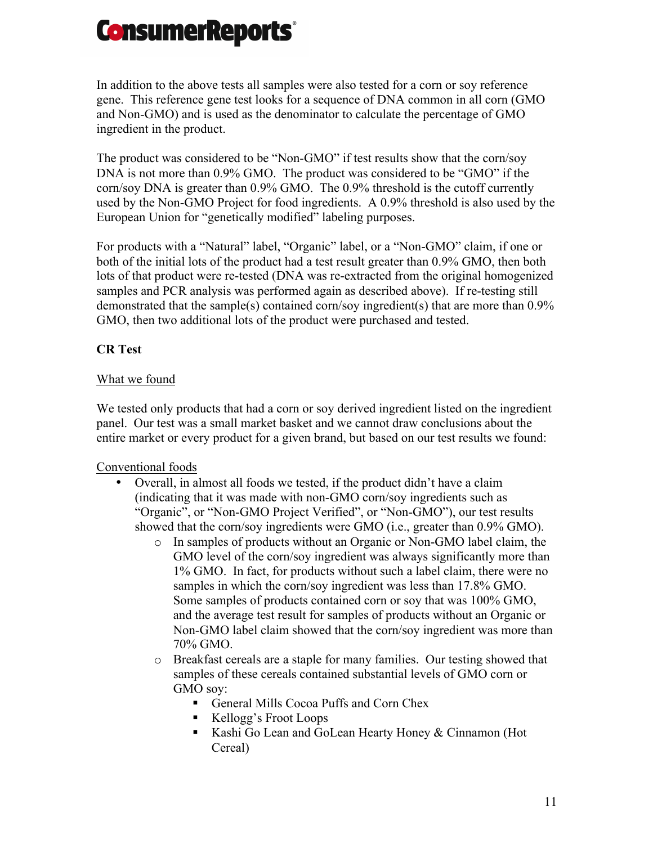

In addition to the above tests all samples were also tested for a corn or soy reference gene. This reference gene test looks for a sequence of DNA common in all corn (GMO and Non-GMO) and is used as the denominator to calculate the percentage of GMO ingredient in the product.

The product was considered to be "Non-GMO" if test results show that the corn/soy DNA is not more than 0.9% GMO. The product was considered to be "GMO" if the corn/soy DNA is greater than 0.9% GMO. The 0.9% threshold is the cutoff currently used by the Non-GMO Project for food ingredients. A 0.9% threshold is also used by the European Union for "genetically modified" labeling purposes.

For products with a "Natural" label, "Organic" label, or a "Non-GMO" claim, if one or both of the initial lots of the product had a test result greater than 0.9% GMO, then both lots of that product were re-tested (DNA was re-extracted from the original homogenized samples and PCR analysis was performed again as described above). If re-testing still demonstrated that the sample(s) contained corn/soy ingredient(s) that are more than 0.9% GMO, then two additional lots of the product were purchased and tested.

# **CR Test**

# What we found

We tested only products that had a corn or soy derived ingredient listed on the ingredient panel. Our test was a small market basket and we cannot draw conclusions about the entire market or every product for a given brand, but based on our test results we found:

# Conventional foods

- Overall, in almost all foods we tested, if the product didn't have a claim (indicating that it was made with non-GMO corn/soy ingredients such as "Organic", or "Non-GMO Project Verified", or "Non-GMO"), our test results showed that the corn/soy ingredients were GMO (i.e., greater than 0.9% GMO).
	- o In samples of products without an Organic or Non-GMO label claim, the GMO level of the corn/soy ingredient was always significantly more than 1% GMO. In fact, for products without such a label claim, there were no samples in which the corn/soy ingredient was less than 17.8% GMO. Some samples of products contained corn or soy that was 100% GMO, and the average test result for samples of products without an Organic or Non-GMO label claim showed that the corn/soy ingredient was more than 70% GMO.
	- o Breakfast cereals are a staple for many families. Our testing showed that samples of these cereals contained substantial levels of GMO corn or GMO sov:
		- General Mills Cocoa Puffs and Corn Chex
		- Kellogg's Froot Loops
		- Kashi Go Lean and GoLean Hearty Honey & Cinnamon (Hot Cereal)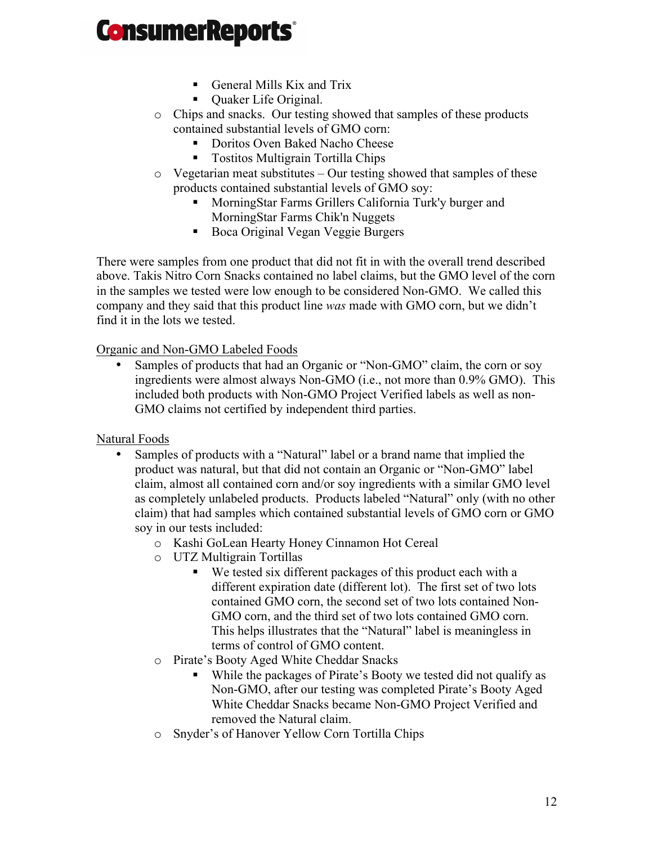- § General Mills Kix and Trix
- Quaker Life Original.
- o Chips and snacks. Our testing showed that samples of these products contained substantial levels of GMO corn:
	- Doritos Oven Baked Nacho Cheese
	- Tostitos Multigrain Tortilla Chips
- $\circ$  Vegetarian meat substitutes Our testing showed that samples of these products contained substantial levels of GMO soy:
	- MorningStar Farms Grillers California Turk'y burger and MorningStar Farms Chik'n Nuggets
	- Boca Original Vegan Veggie Burgers

There were samples from one product that did not fit in with the overall trend described above. Takis Nitro Corn Snacks contained no label claims, but the GMO level of the corn in the samples we tested were low enough to be considered Non-GMO. We called this company and they said that this product line *was* made with GMO corn, but we didn't find it in the lots we tested.

Organic and Non-GMO Labeled Foods

Samples of products that had an Organic or "Non-GMO" claim, the corn or soy ingredients were almost always Non-GMO (i.e., not more than 0.9% GMO). This included both products with Non-GMO Project Verified labels as well as non-GMO claims not certified by independent third parties.

Natural Foods

- Samples of products with a "Natural" label or a brand name that implied the product was natural, but that did not contain an Organic or "Non-GMO" label claim, almost all contained corn and/or soy ingredients with a similar GMO level as completely unlabeled products. Products labeled "Natural" only (with no other claim) that had samples which contained substantial levels of GMO corn or GMO soy in our tests included:
	- o Kashi GoLean Hearty Honey Cinnamon Hot Cereal
	- o UTZ Multigrain Tortillas
		- We tested six different packages of this product each with a different expiration date (different lot). The first set of two lots contained GMO corn, the second set of two lots contained Non-GMO corn, and the third set of two lots contained GMO corn. This helps illustrates that the "Natural" label is meaningless in terms of control of GMO content.
	- o Pirate's Booty Aged White Cheddar Snacks
		- While the packages of Pirate's Booty we tested did not qualify as Non-GMO, after our testing was completed Pirate's Booty Aged White Cheddar Snacks became Non-GMO Project Verified and removed the Natural claim.
	- o Snyder's of Hanover Yellow Corn Tortilla Chips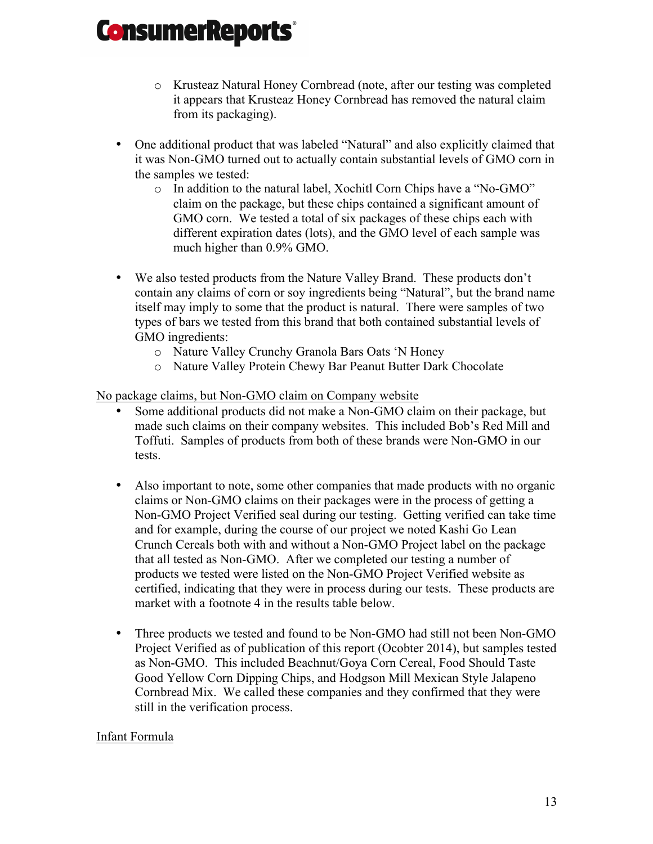- o Krusteaz Natural Honey Cornbread (note, after our testing was completed it appears that Krusteaz Honey Cornbread has removed the natural claim from its packaging).
- One additional product that was labeled "Natural" and also explicitly claimed that it was Non-GMO turned out to actually contain substantial levels of GMO corn in the samples we tested:
	- o In addition to the natural label, Xochitl Corn Chips have a "No-GMO" claim on the package, but these chips contained a significant amount of GMO corn. We tested a total of six packages of these chips each with different expiration dates (lots), and the GMO level of each sample was much higher than 0.9% GMO.
- We also tested products from the Nature Valley Brand. These products don't contain any claims of corn or soy ingredients being "Natural", but the brand name itself may imply to some that the product is natural. There were samples of two types of bars we tested from this brand that both contained substantial levels of GMO ingredients:
	- o Nature Valley Crunchy Granola Bars Oats 'N Honey
	- o Nature Valley Protein Chewy Bar Peanut Butter Dark Chocolate

# No package claims, but Non-GMO claim on Company website

- Some additional products did not make a Non-GMO claim on their package, but made such claims on their company websites. This included Bob's Red Mill and Toffuti. Samples of products from both of these brands were Non-GMO in our tests.
- Also important to note, some other companies that made products with no organic claims or Non-GMO claims on their packages were in the process of getting a Non-GMO Project Verified seal during our testing. Getting verified can take time and for example, during the course of our project we noted Kashi Go Lean Crunch Cereals both with and without a Non-GMO Project label on the package that all tested as Non-GMO. After we completed our testing a number of products we tested were listed on the Non-GMO Project Verified website as certified, indicating that they were in process during our tests. These products are market with a footnote 4 in the results table below.
- Three products we tested and found to be Non-GMO had still not been Non-GMO Project Verified as of publication of this report (Ocobter 2014), but samples tested as Non-GMO. This included Beachnut/Goya Corn Cereal, Food Should Taste Good Yellow Corn Dipping Chips, and Hodgson Mill Mexican Style Jalapeno Cornbread Mix. We called these companies and they confirmed that they were still in the verification process.

# Infant Formula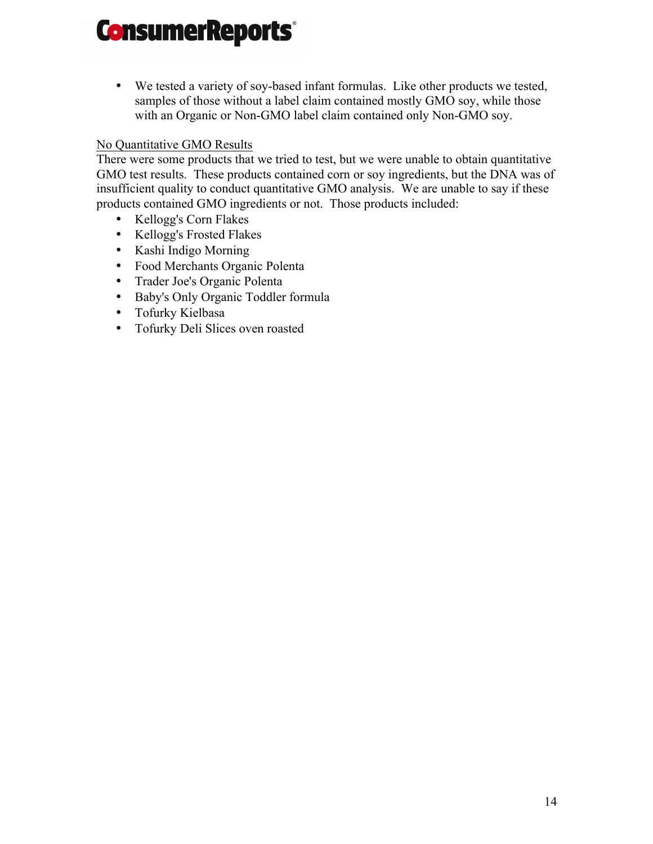• We tested a variety of soy-based infant formulas. Like other products we tested, samples of those without a label claim contained mostly GMO soy, while those with an Organic or Non-GMO label claim contained only Non-GMO soy.

# No Quantitative GMO Results

There were some products that we tried to test, but we were unable to obtain quantitative GMO test results. These products contained corn or soy ingredients, but the DNA was of insufficient quality to conduct quantitative GMO analysis. We are unable to say if these products contained GMO ingredients or not. Those products included:

- Kellogg's Corn Flakes
- Kellogg's Frosted Flakes
- Kashi Indigo Morning
- Food Merchants Organic Polenta
- Trader Joe's Organic Polenta
- Baby's Only Organic Toddler formula
- Tofurky Kielbasa
- Tofurky Deli Slices oven roasted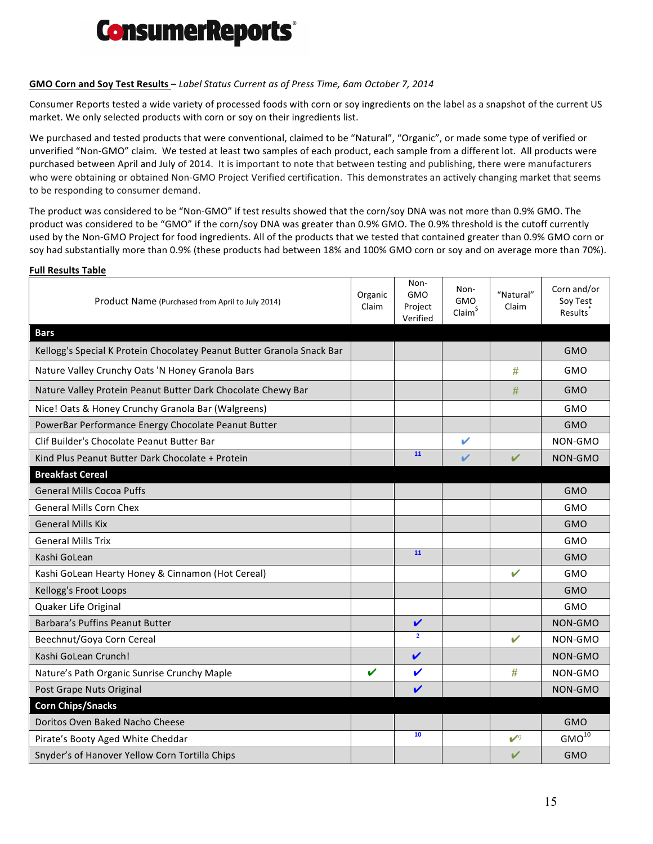

#### **GMO Corn and Soy Test Results** - *Label Status Current as of Press Time, Gam October 7, 2014*

Consumer Reports tested a wide variety of processed foods with corn or soy ingredients on the label as a snapshot of the current US market. We only selected products with corn or soy on their ingredients list.

We purchased and tested products that were conventional, claimed to be "Natural", "Organic", or made some type of verified or unverified "Non-GMO" claim. We tested at least two samples of each product, each sample from a different lot. All products were purchased between April and July of 2014. It is important to note that between testing and publishing, there were manufacturers who were obtaining or obtained Non-GMO Project Verified certification. This demonstrates an actively changing market that seems to be responding to consumer demand.

The product was considered to be "Non-GMO" if test results showed that the corn/soy DNA was not more than 0.9% GMO. The product was considered to be "GMO" if the corn/soy DNA was greater than 0.9% GMO. The 0.9% threshold is the cutoff currently used by the Non-GMO Project for food ingredients. All of the products that we tested that contained greater than 0.9% GMO corn or soy had substantially more than 0.9% (these products had between 18% and 100% GMO corn or soy and on average more than 70%).

#### **Full Results Table**

| Product Name (Purchased from April to July 2014)                       | Organic<br>Claim | Non-<br><b>GMO</b><br>Project<br>Verified | Non-<br>GMO<br>Claim <sup>§</sup> | "Natural"<br>Claim | Corn and/or<br>Soy Test<br>Results <sup>'</sup> |
|------------------------------------------------------------------------|------------------|-------------------------------------------|-----------------------------------|--------------------|-------------------------------------------------|
| <b>Bars</b>                                                            |                  |                                           |                                   |                    |                                                 |
| Kellogg's Special K Protein Chocolatey Peanut Butter Granola Snack Bar |                  |                                           |                                   |                    | <b>GMO</b>                                      |
| Nature Valley Crunchy Oats 'N Honey Granola Bars                       |                  |                                           |                                   | #                  | GMO                                             |
| Nature Valley Protein Peanut Butter Dark Chocolate Chewy Bar           |                  |                                           |                                   | #                  | <b>GMO</b>                                      |
| Nice! Oats & Honey Crunchy Granola Bar (Walgreens)                     |                  |                                           |                                   |                    | <b>GMO</b>                                      |
| PowerBar Performance Energy Chocolate Peanut Butter                    |                  |                                           |                                   |                    | <b>GMO</b>                                      |
| Clif Builder's Chocolate Peanut Butter Bar                             |                  |                                           | ✓                                 |                    | NON-GMO                                         |
| Kind Plus Peanut Butter Dark Chocolate + Protein                       |                  | 11                                        | V                                 | V                  | NON-GMO                                         |
| <b>Breakfast Cereal</b>                                                |                  |                                           |                                   |                    |                                                 |
| <b>General Mills Cocoa Puffs</b>                                       |                  |                                           |                                   |                    | <b>GMO</b>                                      |
| <b>General Mills Corn Chex</b>                                         |                  |                                           |                                   |                    | GMO                                             |
| <b>General Mills Kix</b>                                               |                  |                                           |                                   |                    | <b>GMO</b>                                      |
| <b>General Mills Trix</b>                                              |                  |                                           |                                   |                    | <b>GMO</b>                                      |
| Kashi GoLean                                                           |                  | 11                                        |                                   |                    | <b>GMO</b>                                      |
| Kashi GoLean Hearty Honey & Cinnamon (Hot Cereal)                      |                  |                                           |                                   | V                  | GMO                                             |
| Kellogg's Froot Loops                                                  |                  |                                           |                                   |                    | <b>GMO</b>                                      |
| Quaker Life Original                                                   |                  |                                           |                                   |                    | GMO                                             |
| Barbara's Puffins Peanut Butter                                        |                  | $\mathbf v$                               |                                   |                    | NON-GMO                                         |
| Beechnut/Goya Corn Cereal                                              |                  |                                           |                                   | $\mathbf v$        | NON-GMO                                         |
| Kashi GoLean Crunch!                                                   |                  | $\mathbf v$                               |                                   |                    | NON-GMO                                         |
| Nature's Path Organic Sunrise Crunchy Maple                            | V                | V                                         |                                   | #                  | NON-GMO                                         |
| Post Grape Nuts Original                                               |                  | V                                         |                                   |                    | NON-GMO                                         |
| <b>Corn Chips/Snacks</b>                                               |                  |                                           |                                   |                    |                                                 |
| Doritos Oven Baked Nacho Cheese                                        |                  |                                           |                                   |                    | <b>GMO</b>                                      |
| Pirate's Booty Aged White Cheddar                                      |                  | 10                                        |                                   | $\mathcal{V}^9$    | $GMO^{10}$                                      |
| Snyder's of Hanover Yellow Corn Tortilla Chips                         |                  |                                           |                                   | ✔                  | <b>GMO</b>                                      |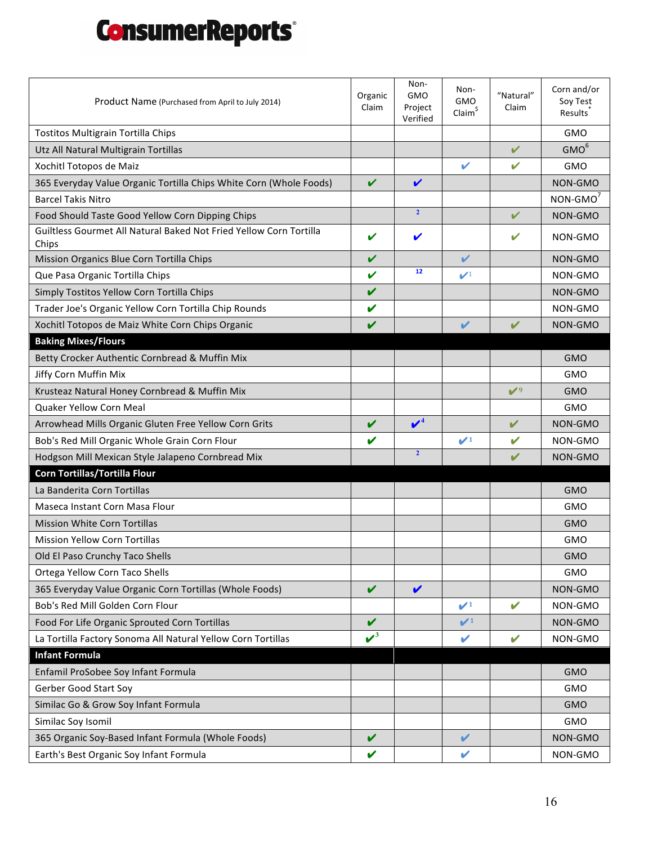| Product Name (Purchased from April to July 2014)                            |                    | Non-<br><b>GMO</b><br>Project<br>Verified | Non-<br><b>GMO</b><br>Claim <sup>§</sup> | "Natural"<br>Claim         | Corn and/or<br>Soy Test<br>Results <sup>'</sup> |
|-----------------------------------------------------------------------------|--------------------|-------------------------------------------|------------------------------------------|----------------------------|-------------------------------------------------|
| Tostitos Multigrain Tortilla Chips                                          |                    |                                           |                                          |                            | <b>GMO</b>                                      |
| Utz All Natural Multigrain Tortillas                                        |                    |                                           |                                          | V                          | GMO <sup>6</sup>                                |
| Xochitl Totopos de Maiz                                                     |                    |                                           | ✔                                        | $\boldsymbol{\mathcal{U}}$ | <b>GMO</b>                                      |
| 365 Everyday Value Organic Tortilla Chips White Corn (Whole Foods)          |                    | V                                         |                                          |                            | NON-GMO                                         |
| <b>Barcel Takis Nitro</b>                                                   |                    |                                           |                                          |                            | $NON-GMO7$                                      |
| Food Should Taste Good Yellow Corn Dipping Chips                            |                    | $\overline{2}$                            |                                          | V                          | NON-GMO                                         |
| Guiltless Gourmet All Natural Baked Not Fried Yellow Corn Tortilla<br>Chips | ✔                  | ✔                                         |                                          | V                          | NON-GMO                                         |
| Mission Organics Blue Corn Tortilla Chips                                   | V                  |                                           | V                                        |                            | NON-GMO                                         |
| Que Pasa Organic Tortilla Chips                                             | V                  | 12                                        | $\boldsymbol{\nu}$                       |                            | NON-GMO                                         |
| Simply Tostitos Yellow Corn Tortilla Chips                                  | V                  |                                           |                                          |                            | NON-GMO                                         |
| Trader Joe's Organic Yellow Corn Tortilla Chip Rounds                       | V                  |                                           |                                          |                            | NON-GMO                                         |
| Xochitl Totopos de Maiz White Corn Chips Organic                            | V                  |                                           | V                                        | $\mathbf v$                | NON-GMO                                         |
| <b>Baking Mixes/Flours</b>                                                  |                    |                                           |                                          |                            |                                                 |
| Betty Crocker Authentic Cornbread & Muffin Mix                              |                    |                                           |                                          |                            | <b>GMO</b>                                      |
| Jiffy Corn Muffin Mix                                                       |                    |                                           |                                          |                            | GMO                                             |
| Krusteaz Natural Honey Cornbread & Muffin Mix                               |                    |                                           |                                          | $\mathcal{V}^9$            | <b>GMO</b>                                      |
| Quaker Yellow Corn Meal                                                     |                    |                                           |                                          |                            | GMO                                             |
| Arrowhead Mills Organic Gluten Free Yellow Corn Grits                       | V                  | $\mathbf{v}^4$                            |                                          | $\checkmark$               | NON-GMO                                         |
| Bob's Red Mill Organic Whole Grain Corn Flour                               | V                  |                                           | $\mathcal{V}^1$                          | V                          | NON-GMO                                         |
| Hodgson Mill Mexican Style Jalapeno Cornbread Mix                           |                    | $\overline{2}$                            |                                          | V                          | NON-GMO                                         |
| Corn Tortillas/Tortilla Flour                                               |                    |                                           |                                          |                            |                                                 |
| La Banderita Corn Tortillas                                                 |                    |                                           |                                          |                            | <b>GMO</b>                                      |
| Maseca Instant Corn Masa Flour                                              |                    |                                           |                                          |                            | <b>GMO</b>                                      |
| <b>Mission White Corn Tortillas</b>                                         |                    |                                           |                                          |                            | <b>GMO</b>                                      |
| <b>Mission Yellow Corn Tortillas</b>                                        |                    |                                           |                                          |                            | <b>GMO</b>                                      |
| Old El Paso Crunchy Taco Shells                                             |                    |                                           |                                          |                            | GMO                                             |
| Ortega Yellow Corn Taco Shells                                              |                    |                                           |                                          |                            | <b>GMO</b>                                      |
| 365 Everyday Value Organic Corn Tortillas (Whole Foods)                     | V                  | $\blacktriangledown$                      |                                          |                            | NON-GMO                                         |
| Bob's Red Mill Golden Corn Flour                                            |                    |                                           | $\mathcal{V}^1$                          | $\mathbf{v}$               | NON-GMO                                         |
| Food For Life Organic Sprouted Corn Tortillas                               | V                  |                                           | $\mathcal{V}^1$                          |                            | NON-GMO                                         |
| La Tortilla Factory Sonoma All Natural Yellow Corn Tortillas                | $\boldsymbol{v}^3$ |                                           | V                                        | $\mathbf v$                | NON-GMO                                         |
| <b>Infant Formula</b>                                                       |                    |                                           |                                          |                            |                                                 |
| Enfamil ProSobee Soy Infant Formula                                         |                    |                                           |                                          |                            | <b>GMO</b>                                      |
| Gerber Good Start Soy                                                       |                    |                                           |                                          |                            | <b>GMO</b>                                      |
| Similac Go & Grow Soy Infant Formula                                        |                    |                                           |                                          |                            | <b>GMO</b>                                      |
| Similac Soy Isomil                                                          |                    |                                           |                                          |                            | <b>GMO</b>                                      |
| 365 Organic Soy-Based Infant Formula (Whole Foods)                          |                    |                                           | V                                        |                            | NON-GMO                                         |
| Earth's Best Organic Soy Infant Formula                                     |                    |                                           | V                                        |                            | NON-GMO                                         |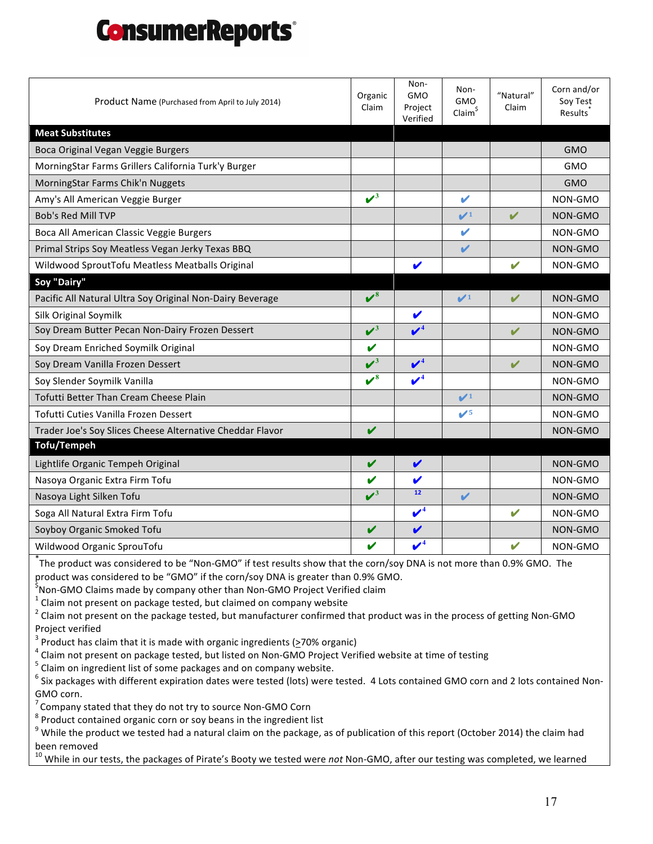| Product Name (Purchased from April to July 2014)                                                                                                                                                         | Organic<br>Claim     | Non-<br><b>GMO</b><br>Project<br>Verified | Non-<br><b>GMO</b><br>Claim <sup>§</sup> | "Natural"<br>Claim | Corn and/or<br>Soy Test<br>Results <sup>®</sup> |  |
|----------------------------------------------------------------------------------------------------------------------------------------------------------------------------------------------------------|----------------------|-------------------------------------------|------------------------------------------|--------------------|-------------------------------------------------|--|
| <b>Meat Substitutes</b>                                                                                                                                                                                  |                      |                                           |                                          |                    |                                                 |  |
| Boca Original Vegan Veggie Burgers                                                                                                                                                                       |                      |                                           |                                          |                    | <b>GMO</b>                                      |  |
| MorningStar Farms Grillers California Turk'y Burger                                                                                                                                                      |                      |                                           |                                          |                    | <b>GMO</b>                                      |  |
| MorningStar Farms Chik'n Nuggets                                                                                                                                                                         |                      |                                           |                                          |                    | <b>GMO</b>                                      |  |
| Amy's All American Veggie Burger                                                                                                                                                                         | $\boldsymbol{v}^3$   |                                           | V                                        |                    | NON-GMO                                         |  |
| <b>Bob's Red Mill TVP</b>                                                                                                                                                                                |                      |                                           | $\mathcal{V}^1$                          | V                  | NON-GMO                                         |  |
| Boca All American Classic Veggie Burgers                                                                                                                                                                 |                      |                                           | V                                        |                    | NON-GMO                                         |  |
| Primal Strips Soy Meatless Vegan Jerky Texas BBQ                                                                                                                                                         |                      |                                           | V                                        |                    | <b>NON-GMO</b>                                  |  |
| Wildwood SproutTofu Meatless Meatballs Original                                                                                                                                                          |                      | V                                         |                                          | $\mathbf v$        | NON-GMO                                         |  |
| Soy "Dairy"                                                                                                                                                                                              |                      |                                           |                                          |                    |                                                 |  |
| Pacific All Natural Ultra Soy Original Non-Dairy Beverage                                                                                                                                                | $\boldsymbol{\nu}^8$ |                                           | $\mathcal{V}^1$                          | V                  | NON-GMO                                         |  |
| Silk Original Soymilk                                                                                                                                                                                    |                      | V                                         |                                          |                    | NON-GMO                                         |  |
| Soy Dream Butter Pecan Non-Dairy Frozen Dessert                                                                                                                                                          | $\boldsymbol{v}^3$   | $\mathbf{v}^4$                            |                                          | V                  | NON-GMO                                         |  |
| Soy Dream Enriched Soymilk Original                                                                                                                                                                      | V                    |                                           |                                          |                    | NON-GMO                                         |  |
| Soy Dream Vanilla Frozen Dessert                                                                                                                                                                         | $\boldsymbol{v}^3$   | $\boldsymbol{V}^4$                        |                                          | V                  | NON-GMO                                         |  |
| Soy Slender Soymilk Vanilla                                                                                                                                                                              | $\boldsymbol{v}^8$   | $\boldsymbol{v}^4$                        |                                          |                    | NON-GMO                                         |  |
| Tofutti Better Than Cream Cheese Plain                                                                                                                                                                   |                      |                                           | $\mathcal{V}^1$                          |                    | <b>NON-GMO</b>                                  |  |
| Tofutti Cuties Vanilla Frozen Dessert                                                                                                                                                                    |                      |                                           | $\mathcal{V}^5$                          |                    | NON-GMO                                         |  |
| Trader Joe's Soy Slices Cheese Alternative Cheddar Flavor                                                                                                                                                | V                    |                                           |                                          |                    | NON-GMO                                         |  |
| <b>Tofu/Tempeh</b>                                                                                                                                                                                       |                      |                                           |                                          |                    |                                                 |  |
| Lightlife Organic Tempeh Original                                                                                                                                                                        | V                    | V                                         |                                          |                    | <b>NON-GMO</b>                                  |  |
| Nasoya Organic Extra Firm Tofu                                                                                                                                                                           | V                    | V                                         |                                          |                    | NON-GMO                                         |  |
| Nasoya Light Silken Tofu                                                                                                                                                                                 | $\mathcal{V}^3$      | 12                                        | $\boldsymbol{\mathscr{C}}$               |                    | NON-GMO                                         |  |
| Soga All Natural Extra Firm Tofu                                                                                                                                                                         |                      | $\boldsymbol{\mathscr{V}}^{4}$            |                                          | V                  | NON-GMO                                         |  |
| Soyboy Organic Smoked Tofu                                                                                                                                                                               | V                    | V                                         |                                          |                    | NON-GMO                                         |  |
| Wildwood Organic SprouTofu                                                                                                                                                                               |                      | $\boldsymbol{\nu}^4$                      |                                          | $\mathbf{v}$       | NON-GMO                                         |  |
| The product was considered to be "Non-GMO" if test results show that the corn/soy DNA is not more than 0.9% GMO. The<br>product was considered to be "GMO" if the corn/soy DNA is greater than 0.9% GMO. |                      |                                           |                                          |                    |                                                 |  |

SNon-GMO Claims made by company other than Non-GMO Project Verified claim

 $^1$  Claim not present on package tested, but claimed on company website

2 Claim not present on the package tested, but manufacturer confirmed that product was in the process of getting Non-GMO Project verified<br> $3$  Product has claim that it is made with organic ingredients ( $\geq$ 70% organic)

 $^4$  Claim not present on package tested, but listed on Non-GMO Project Verified website at time of testing  $^5$  Claim on ingredient list of some packages and on company website.

 $^6$  Six packages with different expiration dates were tested (lots) were tested. 4 Lots contained GMO corn and 2 lots contained Non-GMO corn.

 $\sigma$  Company stated that they do not try to source Non-GMO Corn<br><sup>8</sup> Product contained organic corn or soy beans in the ingredient list<br><sup>9</sup> While the product we tested had a natural claim on the package, as of publication been removed

<sup>10</sup> While in our tests, the packages of Pirate's Booty we tested were not Non-GMO, after our testing was completed, we learned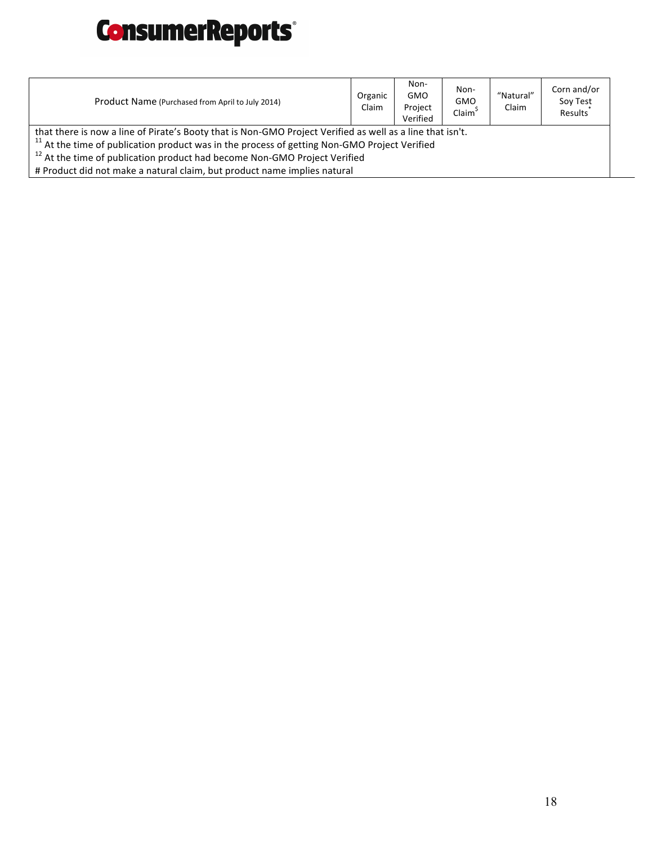

| Product Name (Purchased from April to July 2014)                                                                                                                                                                     | Organic<br>Claim | Non-<br><b>GMO</b><br>Project<br>Verified | Non-<br><b>GMO</b><br>Claim <sup>5</sup> | "Natural"<br>Claim | Corn and/or<br>Soy Test<br>Results <sup>1</sup> |  |
|----------------------------------------------------------------------------------------------------------------------------------------------------------------------------------------------------------------------|------------------|-------------------------------------------|------------------------------------------|--------------------|-------------------------------------------------|--|
| that there is now a line of Pirate's Booty that is Non-GMO Project Verified as well as a line that isn't.<br><sup>11</sup> At the time of publication product was in the process of getting Non-GMO Project Verified |                  |                                           |                                          |                    |                                                 |  |
| <sup>12</sup> At the time of publication product had become Non-GMO Project Verified                                                                                                                                 |                  |                                           |                                          |                    |                                                 |  |
| # Product did not make a natural claim, but product name implies natural                                                                                                                                             |                  |                                           |                                          |                    |                                                 |  |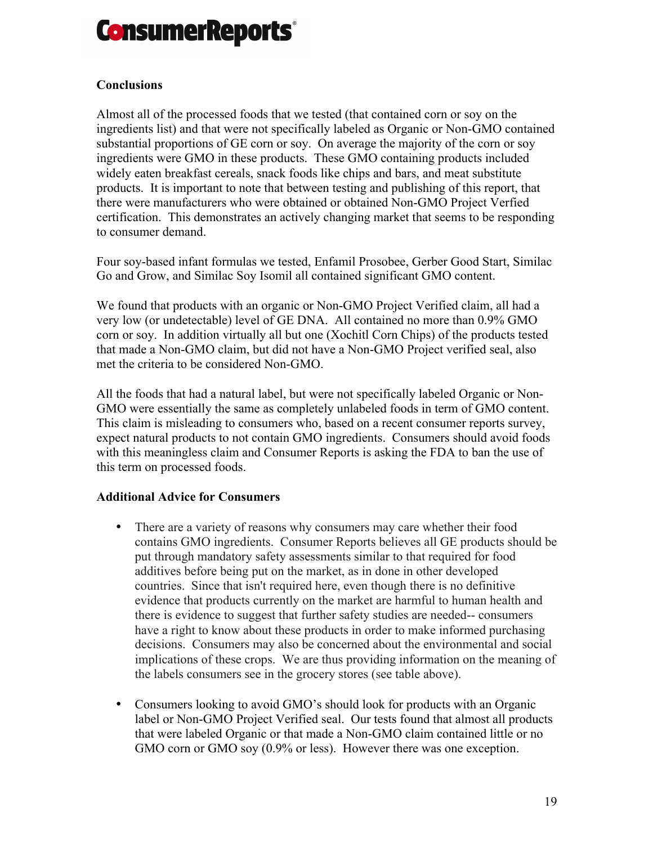

# **Conclusions**

Almost all of the processed foods that we tested (that contained corn or soy on the ingredients list) and that were not specifically labeled as Organic or Non-GMO contained substantial proportions of GE corn or soy. On average the majority of the corn or soy ingredients were GMO in these products. These GMO containing products included widely eaten breakfast cereals, snack foods like chips and bars, and meat substitute products. It is important to note that between testing and publishing of this report, that there were manufacturers who were obtained or obtained Non-GMO Project Verfied certification. This demonstrates an actively changing market that seems to be responding to consumer demand.

Four soy-based infant formulas we tested, Enfamil Prosobee, Gerber Good Start, Similac Go and Grow, and Similac Soy Isomil all contained significant GMO content.

We found that products with an organic or Non-GMO Project Verified claim, all had a very low (or undetectable) level of GE DNA. All contained no more than 0.9% GMO corn or soy. In addition virtually all but one (Xochitl Corn Chips) of the products tested that made a Non-GMO claim, but did not have a Non-GMO Project verified seal, also met the criteria to be considered Non-GMO.

All the foods that had a natural label, but were not specifically labeled Organic or Non-GMO were essentially the same as completely unlabeled foods in term of GMO content. This claim is misleading to consumers who, based on a recent consumer reports survey, expect natural products to not contain GMO ingredients. Consumers should avoid foods with this meaningless claim and Consumer Reports is asking the FDA to ban the use of this term on processed foods.

### **Additional Advice for Consumers**

- There are a variety of reasons why consumers may care whether their food contains GMO ingredients. Consumer Reports believes all GE products should be put through mandatory safety assessments similar to that required for food additives before being put on the market, as in done in other developed countries. Since that isn't required here, even though there is no definitive evidence that products currently on the market are harmful to human health and there is evidence to suggest that further safety studies are needed-- consumers have a right to know about these products in order to make informed purchasing decisions. Consumers may also be concerned about the environmental and social implications of these crops. We are thus providing information on the meaning of the labels consumers see in the grocery stores (see table above).
- Consumers looking to avoid GMO's should look for products with an Organic label or Non-GMO Project Verified seal. Our tests found that almost all products that were labeled Organic or that made a Non-GMO claim contained little or no GMO corn or GMO soy (0.9% or less). However there was one exception.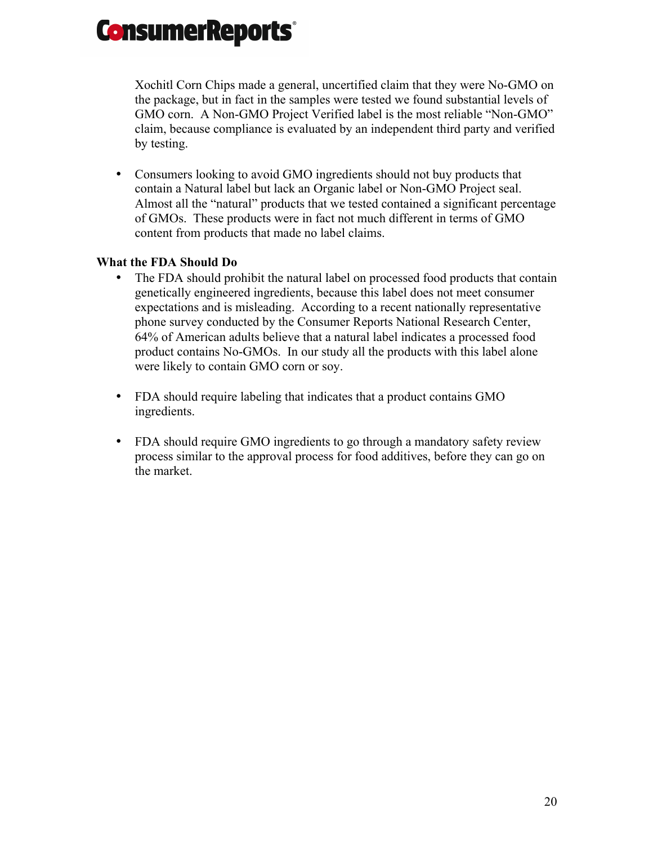Xochitl Corn Chips made a general, uncertified claim that they were No-GMO on the package, but in fact in the samples were tested we found substantial levels of GMO corn. A Non-GMO Project Verified label is the most reliable "Non-GMO" claim, because compliance is evaluated by an independent third party and verified by testing.

• Consumers looking to avoid GMO ingredients should not buy products that contain a Natural label but lack an Organic label or Non-GMO Project seal. Almost all the "natural" products that we tested contained a significant percentage of GMOs. These products were in fact not much different in terms of GMO content from products that made no label claims.

# **What the FDA Should Do**

- The FDA should prohibit the natural label on processed food products that contain genetically engineered ingredients, because this label does not meet consumer expectations and is misleading. According to a recent nationally representative phone survey conducted by the Consumer Reports National Research Center, 64% of American adults believe that a natural label indicates a processed food product contains No-GMOs. In our study all the products with this label alone were likely to contain GMO corn or soy.
- FDA should require labeling that indicates that a product contains GMO ingredients.
- FDA should require GMO ingredients to go through a mandatory safety review process similar to the approval process for food additives, before they can go on the market.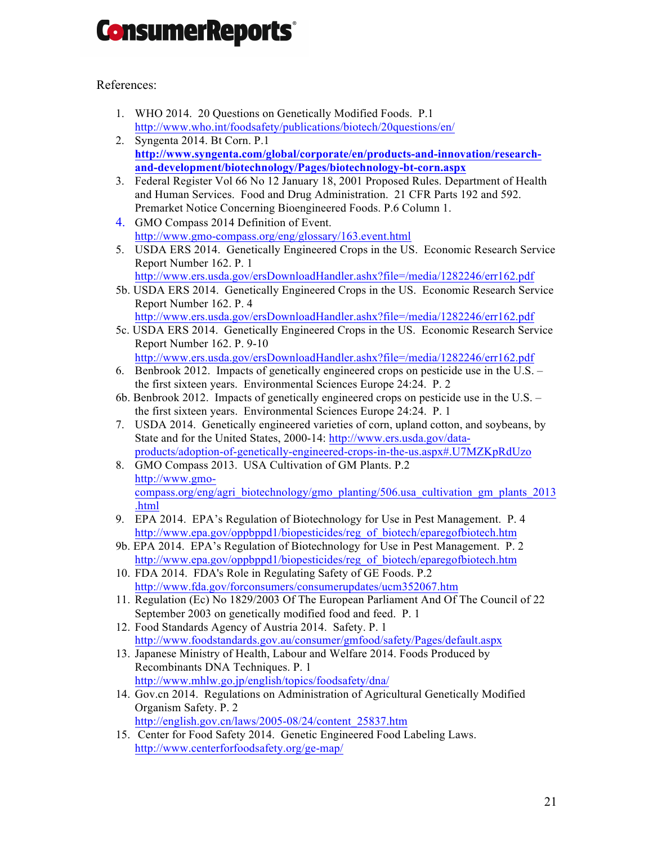# References:

- 1. WHO 2014. 20 Questions on Genetically Modified Foods. P.1 http://www.who.int/foodsafety/publications/biotech/20questions/en/
- 2. Syngenta 2014. Bt Corn. P.1 **http://www.syngenta.com/global/corporate/en/products-and-innovation/researchand-development/biotechnology/Pages/biotechnology-bt-corn.aspx**
- 3. Federal Register Vol 66 No 12 January 18, 2001 Proposed Rules. Department of Health and Human Services. Food and Drug Administration. 21 CFR Parts 192 and 592. Premarket Notice Concerning Bioengineered Foods. P.6 Column 1.
- 4. GMO Compass 2014 Definition of Event. http://www.gmo-compass.org/eng/glossary/163.event.html
- 5. USDA ERS 2014. Genetically Engineered Crops in the US. Economic Research Service Report Number 162. P. 1 http://www.ers.usda.gov/ersDownloadHandler.ashx?file=/media/1282246/err162.pdf
- 5b. USDA ERS 2014. Genetically Engineered Crops in the US. Economic Research Service Report Number 162. P. 4
- http://www.ers.usda.gov/ersDownloadHandler.ashx?file=/media/1282246/err162.pdf 5c. USDA ERS 2014. Genetically Engineered Crops in the US. Economic Research Service Report Number 162. P. 9-10
- http://www.ers.usda.gov/ersDownloadHandler.ashx?file=/media/1282246/err162.pdf 6. Benbrook 2012. Impacts of genetically engineered crops on pesticide use in the U.S. –
- the first sixteen years. Environmental Sciences Europe 24:24. P. 2
- 6b. Benbrook 2012. Impacts of genetically engineered crops on pesticide use in the U.S. the first sixteen years. Environmental Sciences Europe 24:24. P. 1
- 7. USDA 2014. Genetically engineered varieties of corn, upland cotton, and soybeans, by State and for the United States, 2000-14: http://www.ers.usda.gov/dataproducts/adoption-of-genetically-engineered-crops-in-the-us.aspx#.U7MZKpRdUzo
- 8. GMO Compass 2013. USA Cultivation of GM Plants. P.2 http://www.gmocompass.org/eng/agri\_biotechnology/gmo\_planting/506.usa\_cultivation\_gm\_plants\_2013 .html
- 9. EPA 2014. EPA's Regulation of Biotechnology for Use in Pest Management. P. 4 http://www.epa.gov/oppbppd1/biopesticides/reg\_of\_biotech/eparegofbiotech.htm
- 9b. EPA 2014. EPA's Regulation of Biotechnology for Use in Pest Management. P. 2 http://www.epa.gov/oppbppd1/biopesticides/reg\_of\_biotech/eparegofbiotech.htm
- 10. FDA 2014. FDA's Role in Regulating Safety of GE Foods. P.2 http://www.fda.gov/forconsumers/consumerupdates/ucm352067.htm
- 11. Regulation (Ec) No 1829/2003 Of The European Parliament And Of The Council of 22 September 2003 on genetically modified food and feed. P. 1
- 12. Food Standards Agency of Austria 2014. Safety. P. 1 http://www.foodstandards.gov.au/consumer/gmfood/safety/Pages/default.aspx
- 13. Japanese Ministry of Health, Labour and Welfare 2014. Foods Produced by Recombinants DNA Techniques. P. 1 http://www.mhlw.go.jp/english/topics/foodsafety/dna/
- 14. Gov.cn 2014. Regulations on Administration of Agricultural Genetically Modified Organism Safety. P. 2 http://english.gov.cn/laws/2005-08/24/content\_25837.htm
- 15. Center for Food Safety 2014. Genetic Engineered Food Labeling Laws. http://www.centerforfoodsafety.org/ge-map/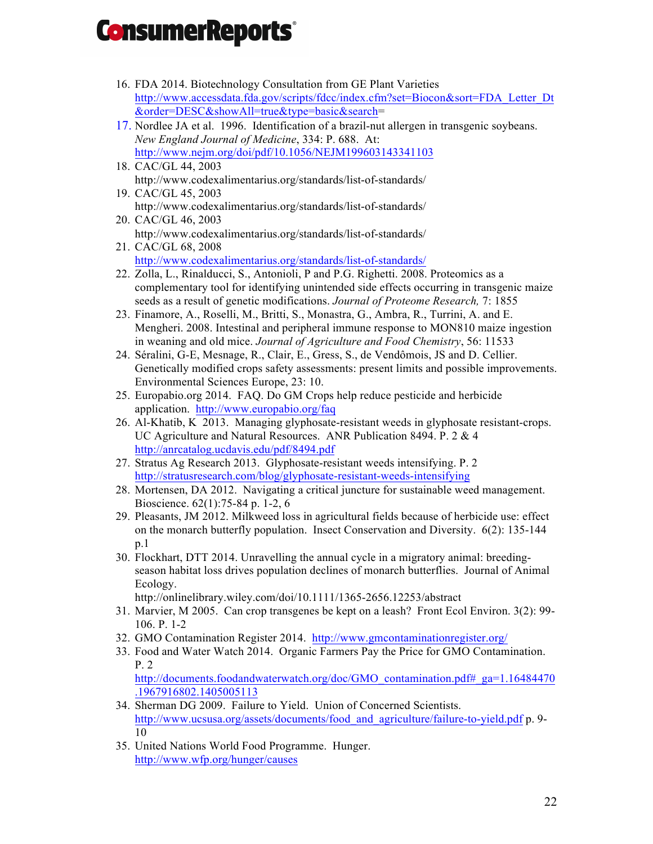- 16. FDA 2014. Biotechnology Consultation from GE Plant Varieties http://www.accessdata.fda.gov/scripts/fdcc/index.cfm?set=Biocon&sort=FDA\_Letter\_Dt &order=DESC&showAll=true&type=basic&search=
- 17. Nordlee JA et al. 1996. Identification of a brazil-nut allergen in transgenic soybeans. *New England Journal of Medicine*, 334: P. 688. At: http://www.nejm.org/doi/pdf/10.1056/NEJM199603143341103
- 18. CAC/GL 44, 2003 http://www.codexalimentarius.org/standards/list-of-standards/
- 19. CAC/GL 45, 2003 http://www.codexalimentarius.org/standards/list-of-standards/
- 20. CAC/GL 46, 2003 http://www.codexalimentarius.org/standards/list-of-standards/
- 21. CAC/GL 68, 2008 http://www.codexalimentarius.org/standards/list-of-standards/
- 22. Zolla, L., Rinalducci, S., Antonioli, P and P.G. Righetti. 2008. Proteomics as a complementary tool for identifying unintended side effects occurring in transgenic maize seeds as a result of genetic modifications. *Journal of Proteome Research,* 7: 1855
- 23. Finamore, A., Roselli, M., Britti, S., Monastra, G., Ambra, R., Turrini, A. and E. Mengheri. 2008. Intestinal and peripheral immune response to MON810 maize ingestion in weaning and old mice. *Journal of Agriculture and Food Chemistry*, 56: 11533
- 24. Séralini, G-E, Mesnage, R., Clair, E., Gress, S., de Vendômois, JS and D. Cellier. Genetically modified crops safety assessments: present limits and possible improvements. Environmental Sciences Europe, 23: 10.
- 25. Europabio.org 2014. FAQ. Do GM Crops help reduce pesticide and herbicide application. http://www.europabio.org/faq
- 26. Al-Khatib, K 2013. Managing glyphosate-resistant weeds in glyphosate resistant-crops. UC Agriculture and Natural Resources. ANR Publication 8494. P. 2 & 4 http://anrcatalog.ucdavis.edu/pdf/8494.pdf
- 27. Stratus Ag Research 2013. Glyphosate-resistant weeds intensifying. P. 2 http://stratusresearch.com/blog/glyphosate-resistant-weeds-intensifying
- 28. Mortensen, DA 2012. Navigating a critical juncture for sustainable weed management. Bioscience. 62(1):75-84 p. 1-2, 6
- 29. Pleasants, JM 2012. Milkweed loss in agricultural fields because of herbicide use: effect on the monarch butterfly population. Insect Conservation and Diversity. 6(2): 135-144 p.1
- 30. Flockhart, DTT 2014. Unravelling the annual cycle in a migratory animal: breedingseason habitat loss drives population declines of monarch butterflies. Journal of Animal Ecology.

http://onlinelibrary.wiley.com/doi/10.1111/1365-2656.12253/abstract

- 31. Marvier, M 2005. Can crop transgenes be kept on a leash? Front Ecol Environ. 3(2): 99- 106. P. 1-2
- 32. GMO Contamination Register 2014. http://www.gmcontaminationregister.org/
- 33. Food and Water Watch 2014. Organic Farmers Pay the Price for GMO Contamination. P. 2

http://documents.foodandwaterwatch.org/doc/GMO\_contamination.pdf#\_ga=1.16484470 .1967916802.1405005113

- 34. Sherman DG 2009. Failure to Yield. Union of Concerned Scientists. http://www.ucsusa.org/assets/documents/food and agriculture/failure-to-yield.pdf p. 9-10
- 35. United Nations World Food Programme. Hunger. http://www.wfp.org/hunger/causes